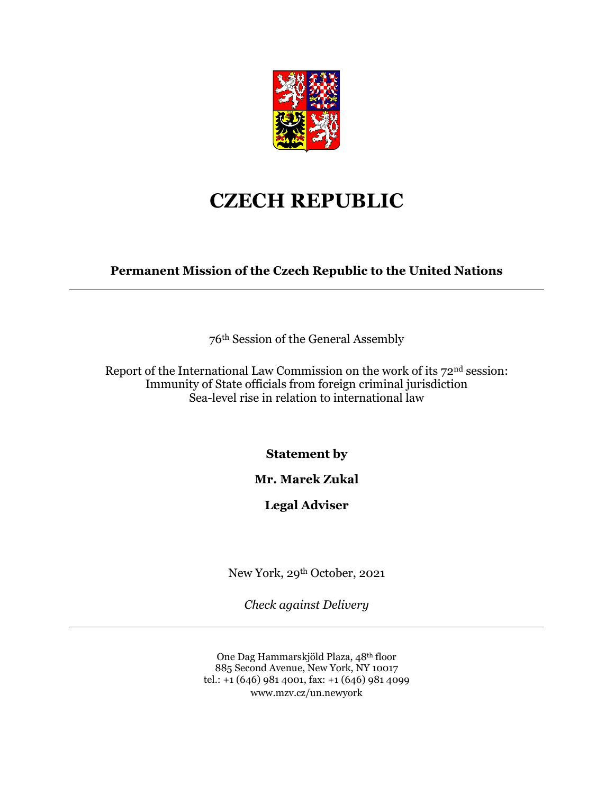

## **CZECH REPUBLIC**

**Permanent Mission of the Czech Republic to the United Nations**

76th Session of the General Assembly

Report of the International Law Commission on the work of its 72nd session: Immunity of State officials from foreign criminal jurisdiction Sea-level rise in relation to international law

**Statement by**

## **Mr. Marek Zukal**

## **Legal Adviser**

New York, 29th October, 2021

*Check against Delivery*

One Dag Hammarskjöld Plaza, 48th floor 885 Second Avenue, New York, NY 10017 tel.: +1 (646) 981 4001, fax: +1 (646) 981 4099 www.mzv.cz/un.newyork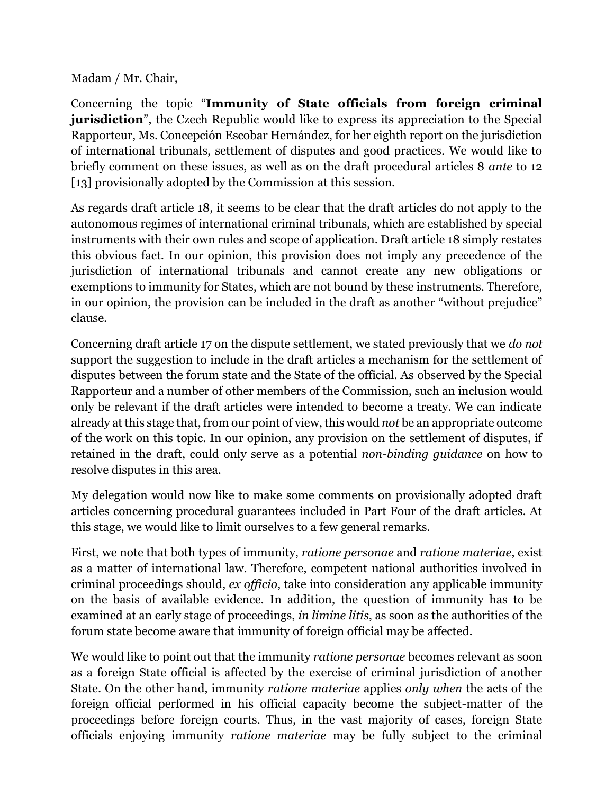Madam / Mr. Chair,

Concerning the topic "**Immunity of State officials from foreign criminal jurisdiction**", the Czech Republic would like to express its appreciation to the Special Rapporteur, Ms. Concepción Escobar Hernández, for her eighth report on the jurisdiction of international tribunals, settlement of disputes and good practices. We would like to briefly comment on these issues, as well as on the draft procedural articles 8 *ante* to 12 [13] provisionally adopted by the Commission at this session.

As regards draft article 18, it seems to be clear that the draft articles do not apply to the autonomous regimes of international criminal tribunals, which are established by special instruments with their own rules and scope of application. Draft article 18 simply restates this obvious fact. In our opinion, this provision does not imply any precedence of the jurisdiction of international tribunals and cannot create any new obligations or exemptions to immunity for States, which are not bound by these instruments. Therefore, in our opinion, the provision can be included in the draft as another "without prejudice" clause.

Concerning draft article 17 on the dispute settlement, we stated previously that we *do not* support the suggestion to include in the draft articles a mechanism for the settlement of disputes between the forum state and the State of the official. As observed by the Special Rapporteur and a number of other members of the Commission, such an inclusion would only be relevant if the draft articles were intended to become a treaty. We can indicate already at this stage that, from our point of view, this would *not* be an appropriate outcome of the work on this topic. In our opinion, any provision on the settlement of disputes, if retained in the draft, could only serve as a potential *non-binding guidance* on how to resolve disputes in this area.

My delegation would now like to make some comments on provisionally adopted draft articles concerning procedural guarantees included in Part Four of the draft articles. At this stage, we would like to limit ourselves to a few general remarks.

First, we note that both types of immunity, *ratione personae* and *ratione materiae*, exist as a matter of international law. Therefore, competent national authorities involved in criminal proceedings should, *ex officio*, take into consideration any applicable immunity on the basis of available evidence. In addition, the question of immunity has to be examined at an early stage of proceedings, *in limine litis*, as soon as the authorities of the forum state become aware that immunity of foreign official may be affected.

We would like to point out that the immunity *ratione personae* becomes relevant as soon as a foreign State official is affected by the exercise of criminal jurisdiction of another State. On the other hand, immunity *ratione materiae* applies *only when* the acts of the foreign official performed in his official capacity become the subject-matter of the proceedings before foreign courts. Thus, in the vast majority of cases, foreign State officials enjoying immunity *ratione materiae* may be fully subject to the criminal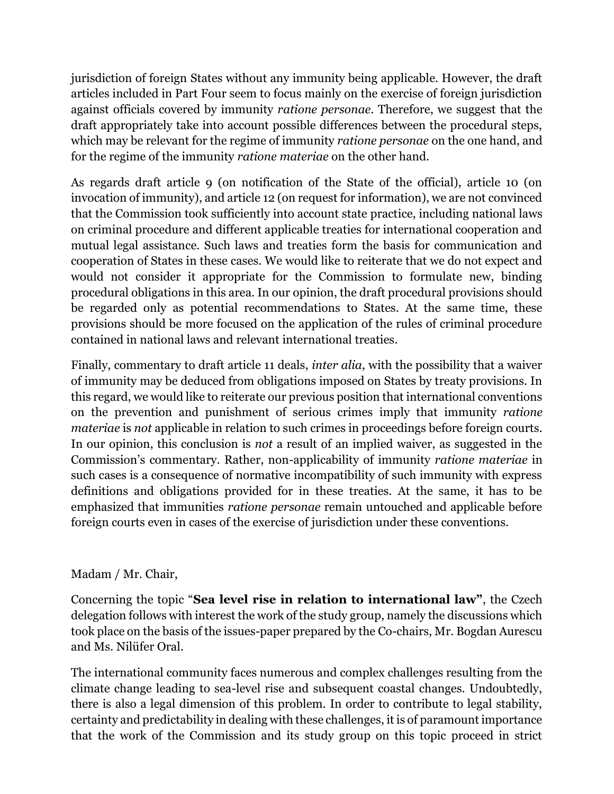jurisdiction of foreign States without any immunity being applicable. However, the draft articles included in Part Four seem to focus mainly on the exercise of foreign jurisdiction against officials covered by immunity *ratione personae*. Therefore, we suggest that the draft appropriately take into account possible differences between the procedural steps, which may be relevant for the regime of immunity *ratione personae* on the one hand, and for the regime of the immunity *ratione materiae* on the other hand.

As regards draft article 9 (on notification of the State of the official), article 10 (on invocation of immunity), and article 12 (on request for information), we are not convinced that the Commission took sufficiently into account state practice, including national laws on criminal procedure and different applicable treaties for international cooperation and mutual legal assistance. Such laws and treaties form the basis for communication and cooperation of States in these cases. We would like to reiterate that we do not expect and would not consider it appropriate for the Commission to formulate new, binding procedural obligations in this area. In our opinion, the draft procedural provisions should be regarded only as potential recommendations to States. At the same time, these provisions should be more focused on the application of the rules of criminal procedure contained in national laws and relevant international treaties.

Finally, commentary to draft article 11 deals, *inter alia*, with the possibility that a waiver of immunity may be deduced from obligations imposed on States by treaty provisions. In this regard, we would like to reiterate our previous position that international conventions on the prevention and punishment of serious crimes imply that immunity *ratione materiae* is *not* applicable in relation to such crimes in proceedings before foreign courts. In our opinion, this conclusion is *not* a result of an implied waiver, as suggested in the Commission's commentary. Rather, non-applicability of immunity *ratione materiae* in such cases is a consequence of normative incompatibility of such immunity with express definitions and obligations provided for in these treaties. At the same, it has to be emphasized that immunities *ratione personae* remain untouched and applicable before foreign courts even in cases of the exercise of jurisdiction under these conventions.

## Madam / Mr. Chair,

Concerning the topic "**Sea level rise in relation to international law"**, the Czech delegation follows with interest the work of the study group, namely the discussions which took place on the basis of the issues-paper prepared by the Co-chairs, Mr. Bogdan Aurescu and Ms. Nilüfer Oral.

The international community faces numerous and complex challenges resulting from the climate change leading to sea-level rise and subsequent coastal changes. Undoubtedly, there is also a legal dimension of this problem. In order to contribute to legal stability, certainty and predictability in dealing with these challenges, it is of paramount importance that the work of the Commission and its study group on this topic proceed in strict